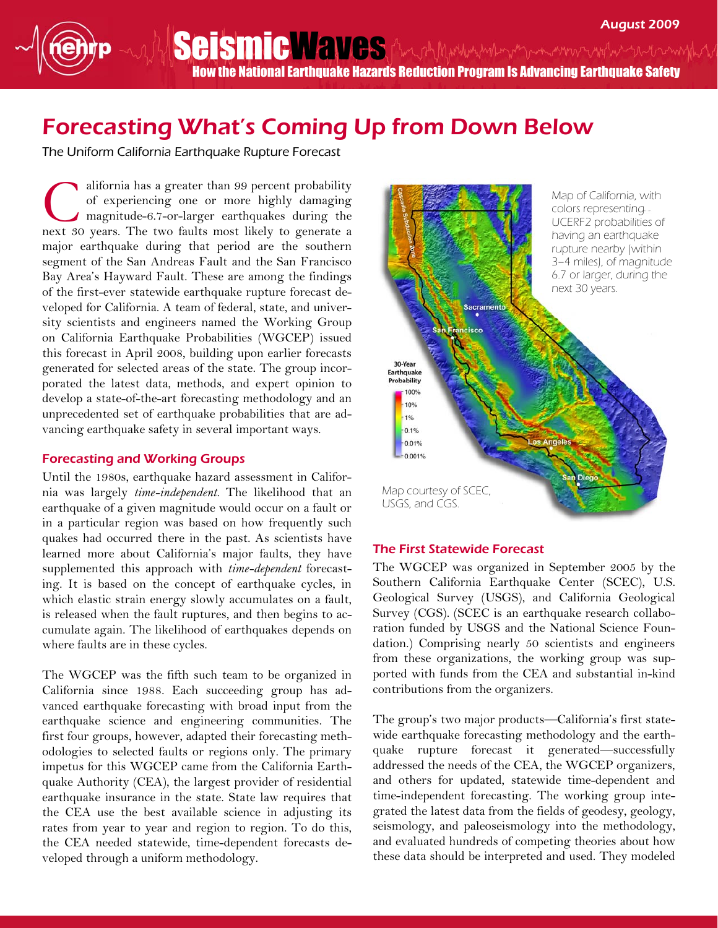Seismic May BS And Munter the movement were the How the National Earthquake Hazards Reduction Program Is Advancing Earthquake Safety

## Forecasting What's Coming Up from Down Below

The Uniform California Earthquake Rupture Forecast

alifornia has a greater than 99 percent probability of experiencing one or more highly damaging magnitude-6.7-or-larger earthquakes during the next 30 years. The two faults most likely to generate a major earthquake during that period are the southern segment of the San Andreas Fault and the San Francisco Bay Area's Hayward Fault. These are among the findings of the first-ever statewide earthquake rupture forecast developed for California. A team of federal, state, and university scientists and engineers named the Working Group on California Earthquake Probabilities (WGCEP) issued this forecast in April 2008, building upon earlier forecasts generated for selected areas of the state. The group incorporated the latest data, methods, and expert opinion to develop a state-of-the-art forecasting methodology and an unprecedented set of earthquake probabilities that are advancing earthquake safety in several important ways. C

## Forecasting and Working Groups

Until the 1980s, earthquake hazard assessment in California was largely time-independent. The likelihood that an earthquake of a given magnitude would occur on a fault or in a particular region was based on how frequently such quakes had occurred there in the past. As scientists have learned more about California's major faults, they have supplemented this approach with *time-dependent* forecasting. It is based on the concept of earthquake cycles, in which elastic strain energy slowly accumulates on a fault, is released when the fault ruptures, and then begins to accumulate again. The likelihood of earthquakes depends on where faults are in these cycles.

The WGCEP was the fifth such team to be organized in California since 1988. Each succeeding group has advanced earthquake forecasting with broad input from the earthquake science and engineering communities. The first four groups, however, adapted their forecasting methodologies to selected faults or regions only. The primary impetus for this WGCEP came from the California Earthquake Authority (CEA), the largest provider of residential earthquake insurance in the state. State law requires that the CEA use the best available science in adjusting its rates from year to year and region to region. To do this, the CEA needed statewide, time-dependent forecasts developed through a uniform methodology.



## The First Statewide Forecast

The WGCEP was organized in September 2005 by the Southern California Earthquake Center (SCEC), U.S. Geological Survey (USGS), and California Geological Survey (CGS). (SCEC is an earthquake research collaboration funded by USGS and the National Science Foundation.) Comprising nearly 50 scientists and engineers from these organizations, the working group was supported with funds from the CEA and substantial in-kind contributions from the organizers.

The group's two major products—California's first statewide earthquake forecasting methodology and the earthquake rupture forecast it generated—successfully addressed the needs of the CEA, the WGCEP organizers, and others for updated, statewide time-dependent and time-independent forecasting. The working group integrated the latest data from the fields of geodesy, geology, seismology, and paleoseismology into the methodology, and evaluated hundreds of competing theories about how these data should be interpreted and used. They modeled